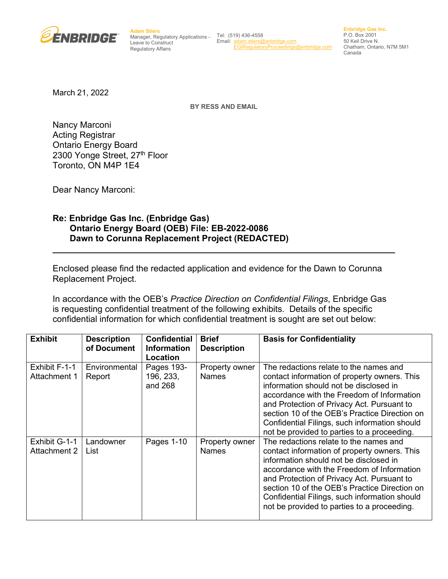

**Adam Stiers** Manager, Regulatory Applications - Leave to Construct Regulatory Affairs

Tel: (519) 436-4558 Email: [adam.stiers@enbridge.com](mailto:adam.stiers@enbridge.com) [EGIRegulatoryProceedings@enbridge.com](mailto:EGIRegulatoryProceedings@enbridge.com)

**Enbridge Gas Inc.** P.O. Box 2001 50 Keil Drive N. Chatham, Ontario, N7M 5M1 Canada

March 21, 2022

**BY RESS AND EMAIL**

Nancy Marconi Acting Registrar Ontario Energy Board 2300 Yonge Street, 27th Floor Toronto, ON M4P 1E4

Dear Nancy Marconi:

## **Re: Enbridge Gas Inc. (Enbridge Gas) Ontario Energy Board (OEB) File: EB-2022-0086 Dawn to Corunna Replacement Project (REDACTED)**

Enclosed please find the redacted application and evidence for the Dawn to Corunna Replacement Project.

In accordance with the OEB's *Practice Direction on Confidential Filings*, Enbridge Gas is requesting confidential treatment of the following exhibits. Details of the specific confidential information for which confidential treatment is sought are set out below:

| <b>Exhibit</b>                       | <b>Description</b><br>of Document | <b>Confidential</b><br><b>Information</b><br>Location | <b>Brief</b><br><b>Description</b> | <b>Basis for Confidentiality</b>                                                                                                                                                                                                                                                                                                                                              |
|--------------------------------------|-----------------------------------|-------------------------------------------------------|------------------------------------|-------------------------------------------------------------------------------------------------------------------------------------------------------------------------------------------------------------------------------------------------------------------------------------------------------------------------------------------------------------------------------|
| Exhibit F-1-1<br>Attachment 1        | Environmental<br>Report           | Pages 193-<br>196, 233,<br>and 268                    | Property owner<br><b>Names</b>     | The redactions relate to the names and<br>contact information of property owners. This<br>information should not be disclosed in<br>accordance with the Freedom of Information<br>and Protection of Privacy Act. Pursuant to<br>section 10 of the OEB's Practice Direction on<br>Confidential Filings, such information should<br>not be provided to parties to a proceeding. |
| Exhibit G-1-1<br><b>Attachment 2</b> | Landowner<br>List                 | Pages 1-10                                            | Property owner<br><b>Names</b>     | The redactions relate to the names and<br>contact information of property owners. This<br>information should not be disclosed in<br>accordance with the Freedom of Information<br>and Protection of Privacy Act. Pursuant to<br>section 10 of the OEB's Practice Direction on<br>Confidential Filings, such information should<br>not be provided to parties to a proceeding. |